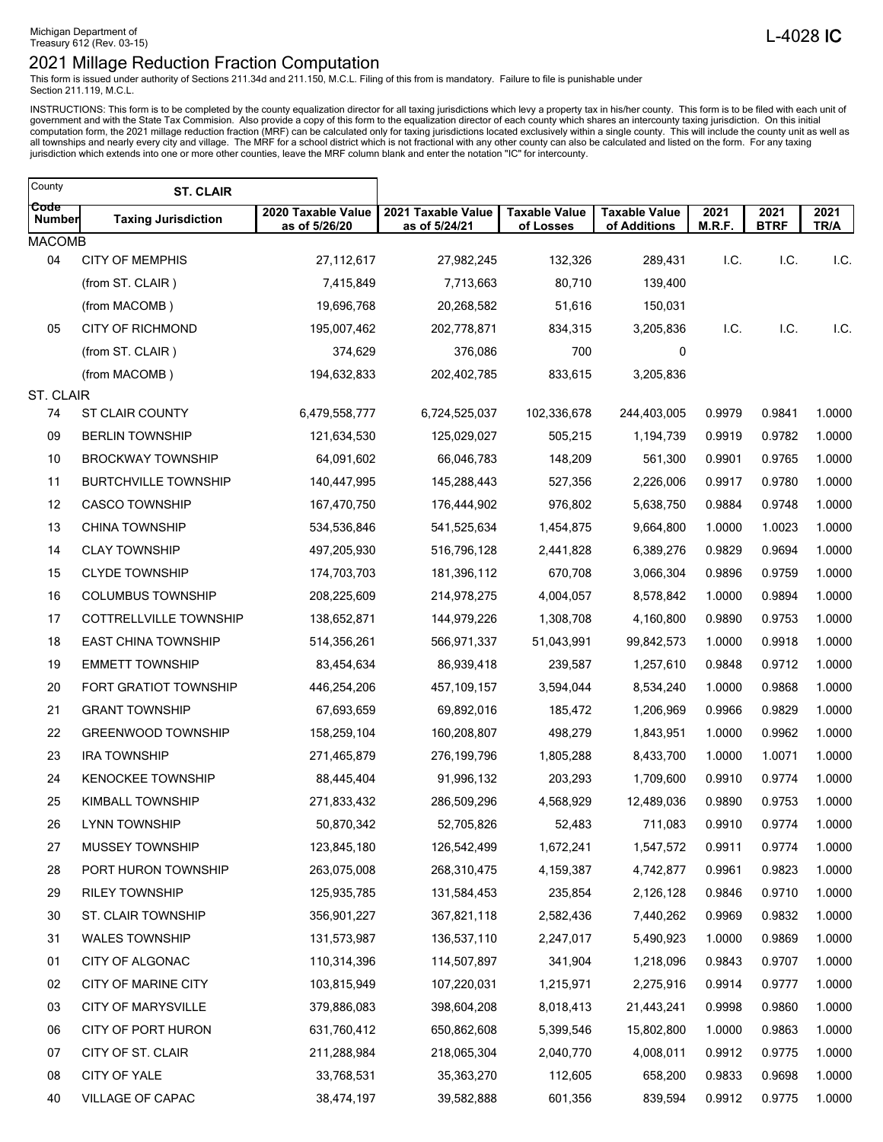This form is issued under authority of Sections 211.34d and 211.150, M.C.L. Filing of this from is mandatory. Failure to file is punishable under Section 211.119, M.C.L.

INSTRUCTIONS: This form is to be completed by the county equalization director for all taxing jurisdictions which levy a property tax in his/her county. This form is to be filed with each unit of government and with the St

| County         | <b>ST. CLAIR</b>            |                                     |                                     |                                   |                                      |                |                     |              |
|----------------|-----------------------------|-------------------------------------|-------------------------------------|-----------------------------------|--------------------------------------|----------------|---------------------|--------------|
| Code<br>Number | <b>Taxing Jurisdiction</b>  | 2020 Taxable Value<br>as of 5/26/20 | 2021 Taxable Value<br>as of 5/24/21 | <b>Taxable Value</b><br>of Losses | <b>Taxable Value</b><br>of Additions | 2021<br>M.R.F. | 2021<br><b>BTRF</b> | 2021<br>TR/A |
| <b>MACOMB</b>  |                             |                                     |                                     |                                   |                                      |                |                     |              |
| 04             | <b>CITY OF MEMPHIS</b>      | 27,112,617                          | 27,982,245                          | 132,326                           | 289,431                              | I.C.           | I.C.                | I.C.         |
|                | (from ST. CLAIR)            | 7,415,849                           | 7,713,663                           | 80,710                            | 139,400                              |                |                     |              |
|                | (from MACOMB)               | 19,696,768                          | 20,268,582                          | 51,616                            | 150,031                              |                |                     |              |
| 05             | <b>CITY OF RICHMOND</b>     | 195,007,462                         | 202,778,871                         | 834,315                           | 3,205,836                            | I.C.           | I.C.                | I.C.         |
|                | (from ST. CLAIR)            | 374,629                             | 376,086                             | 700                               | 0                                    |                |                     |              |
|                | (from MACOMB)               | 194,632,833                         | 202,402,785                         | 833,615                           | 3,205,836                            |                |                     |              |
| ST. CLAIR      |                             |                                     |                                     |                                   |                                      |                |                     |              |
| 74             | <b>ST CLAIR COUNTY</b>      | 6,479,558,777                       | 6,724,525,037                       | 102,336,678                       | 244,403,005                          | 0.9979         | 0.9841              | 1.0000       |
| 09             | <b>BERLIN TOWNSHIP</b>      | 121,634,530                         | 125,029,027                         | 505,215                           | 1,194,739                            | 0.9919         | 0.9782              | 1.0000       |
| 10             | <b>BROCKWAY TOWNSHIP</b>    | 64,091,602                          | 66,046,783                          | 148,209                           | 561,300                              | 0.9901         | 0.9765              | 1.0000       |
| 11             | <b>BURTCHVILLE TOWNSHIP</b> | 140,447,995                         | 145,288,443                         | 527,356                           | 2,226,006                            | 0.9917         | 0.9780              | 1.0000       |
| 12             | <b>CASCO TOWNSHIP</b>       | 167,470,750                         | 176,444,902                         | 976,802                           | 5,638,750                            | 0.9884         | 0.9748              | 1.0000       |
| 13             | <b>CHINA TOWNSHIP</b>       | 534,536,846                         | 541,525,634                         | 1,454,875                         | 9,664,800                            | 1.0000         | 1.0023              | 1.0000       |
| 14             | <b>CLAY TOWNSHIP</b>        | 497,205,930                         | 516,796,128                         | 2,441,828                         | 6,389,276                            | 0.9829         | 0.9694              | 1.0000       |
| 15             | <b>CLYDE TOWNSHIP</b>       | 174,703,703                         | 181,396,112                         | 670,708                           | 3,066,304                            | 0.9896         | 0.9759              | 1.0000       |
| 16             | <b>COLUMBUS TOWNSHIP</b>    | 208,225,609                         | 214,978,275                         | 4,004,057                         | 8,578,842                            | 1.0000         | 0.9894              | 1.0000       |
| 17             | COTTRELLVILLE TOWNSHIP      | 138,652,871                         | 144,979,226                         | 1,308,708                         | 4,160,800                            | 0.9890         | 0.9753              | 1.0000       |
| 18             | <b>EAST CHINA TOWNSHIP</b>  | 514,356,261                         | 566,971,337                         | 51,043,991                        | 99,842,573                           | 1.0000         | 0.9918              | 1.0000       |
| 19             | <b>EMMETT TOWNSHIP</b>      | 83,454,634                          | 86,939,418                          | 239,587                           | 1,257,610                            | 0.9848         | 0.9712              | 1.0000       |
| 20             | FORT GRATIOT TOWNSHIP       | 446,254,206                         | 457, 109, 157                       | 3,594,044                         | 8,534,240                            | 1.0000         | 0.9868              | 1.0000       |
| 21             | <b>GRANT TOWNSHIP</b>       | 67,693,659                          | 69,892,016                          | 185,472                           | 1,206,969                            | 0.9966         | 0.9829              | 1.0000       |
| 22             | <b>GREENWOOD TOWNSHIP</b>   | 158,259,104                         | 160,208,807                         | 498,279                           | 1,843,951                            | 1.0000         | 0.9962              | 1.0000       |
| 23             | <b>IRA TOWNSHIP</b>         | 271,465,879                         | 276,199,796                         | 1,805,288                         | 8,433,700                            | 1.0000         | 1.0071              | 1.0000       |
| 24             | <b>KENOCKEE TOWNSHIP</b>    | 88,445,404                          | 91,996,132                          | 203,293                           | 1,709,600                            | 0.9910         | 0.9774              | 1.0000       |
| 25             | <b>KIMBALL TOWNSHIP</b>     | 271,833,432                         | 286,509,296                         | 4,568,929                         | 12,489,036                           | 0.9890         | 0.9753              | 1.0000       |
| 26             | <b>LYNN TOWNSHIP</b>        | 50,870,342                          | 52,705,826                          | 52,483                            | 711,083                              | 0.9910         | 0.9774              | 1.0000       |
| 27             | MUSSEY TOWNSHIP             | 123,845,180                         | 126,542,499                         | 1,672,241                         | 1,547,572                            | 0.9911         | 0.9774              | 1.0000       |
| 28             | PORT HURON TOWNSHIP         | 263,075,008                         | 268,310,475                         | 4,159,387                         | 4,742,877                            | 0.9961         | 0.9823              | 1.0000       |
| 29             | <b>RILEY TOWNSHIP</b>       | 125,935,785                         | 131,584,453                         | 235,854                           | 2,126,128                            | 0.9846         | 0.9710              | 1.0000       |
| 30             | ST. CLAIR TOWNSHIP          | 356,901,227                         | 367,821,118                         | 2,582,436                         | 7,440,262                            | 0.9969         | 0.9832              | 1.0000       |
| 31             | <b>WALES TOWNSHIP</b>       | 131,573,987                         | 136,537,110                         | 2,247,017                         | 5,490,923                            | 1.0000         | 0.9869              | 1.0000       |
| 01             | CITY OF ALGONAC             | 110,314,396                         | 114,507,897                         | 341,904                           | 1,218,096                            | 0.9843         | 0.9707              | 1.0000       |
| 02             | CITY OF MARINE CITY         | 103,815,949                         | 107,220,031                         | 1,215,971                         | 2,275,916                            | 0.9914         | 0.9777              | 1.0000       |
| 03             | <b>CITY OF MARYSVILLE</b>   | 379,886,083                         | 398,604,208                         | 8,018,413                         | 21,443,241                           | 0.9998         | 0.9860              | 1.0000       |
| 06             | CITY OF PORT HURON          | 631,760,412                         | 650,862,608                         | 5,399,546                         | 15,802,800                           | 1.0000         | 0.9863              | 1.0000       |
| 07             | CITY OF ST. CLAIR           | 211,288,984                         | 218,065,304                         | 2,040,770                         | 4,008,011                            | 0.9912         | 0.9775              | 1.0000       |
| 08             | CITY OF YALE                | 33,768,531                          | 35,363,270                          | 112,605                           | 658,200                              | 0.9833         | 0.9698              | 1.0000       |
| 40             | VILLAGE OF CAPAC            | 38,474,197                          | 39,582,888                          | 601,356                           | 839,594                              | 0.9912         | 0.9775              | 1.0000       |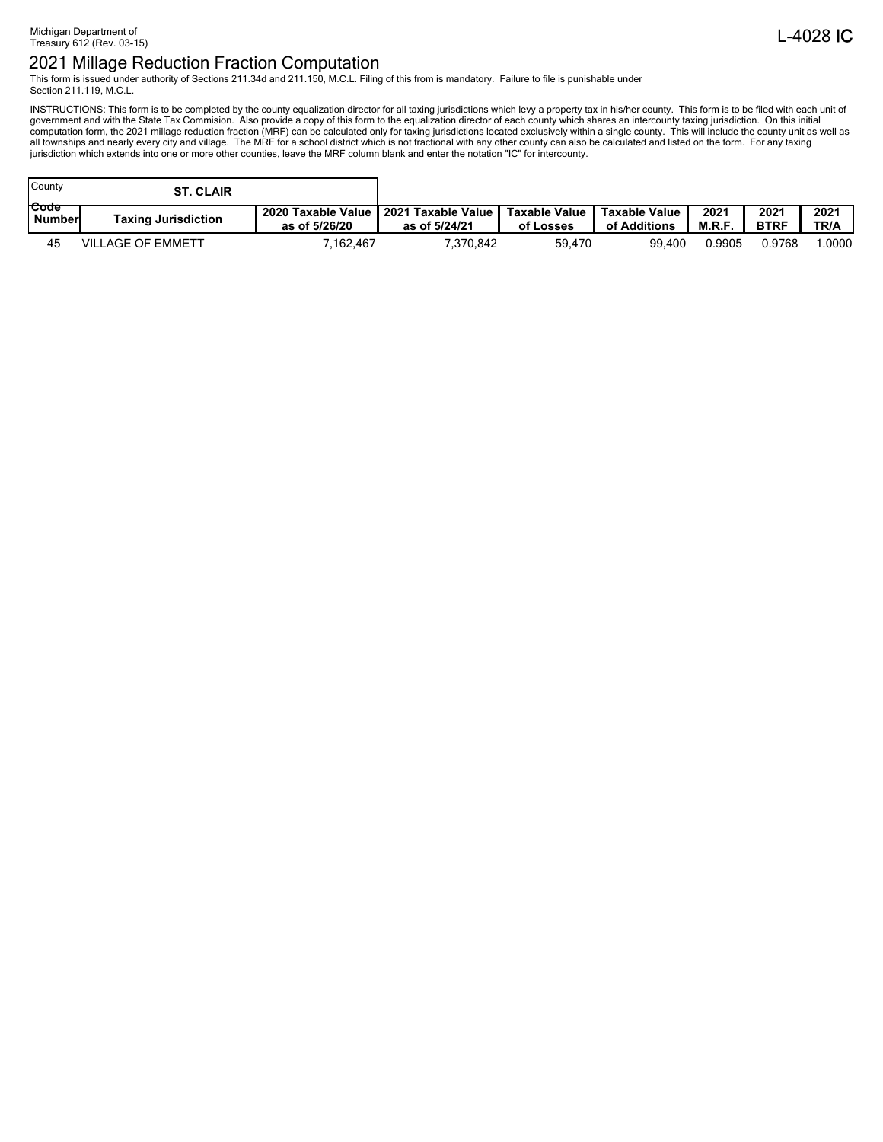This form is issued under authority of Sections 211.34d and 211.150, M.C.L. Filing of this from is mandatory. Failure to file is punishable under Section 211.119, M.C.L.

INSTRUCTIONS: This form is to be completed by the county equalization director for all taxing jurisdictions which levy a property tax in his/her county. This form is to be filed with each unit of government and with the St

| County         | <b>ST. CLAIR</b>           |                                     |                                                        |           |                               |               |                     |              |
|----------------|----------------------------|-------------------------------------|--------------------------------------------------------|-----------|-------------------------------|---------------|---------------------|--------------|
| Code<br>Number | <b>Taxing Jurisdiction</b> | 2020 Taxable Value<br>as of 5/26/20 | 2021 Taxable Value   Taxable Value   <br>as of 5/24/21 | of Losses | Taxable Value<br>of Additions | 2021<br>M.R.F | 2021<br><b>BTRF</b> | 2021<br>TR/A |
| 45             | <b>VILLAGE OF EMMETT</b>   | 7,162,467                           | 7.370.842                                              | 59,470    | 99.400                        | 0.9905        | 0.9768              | .0000        |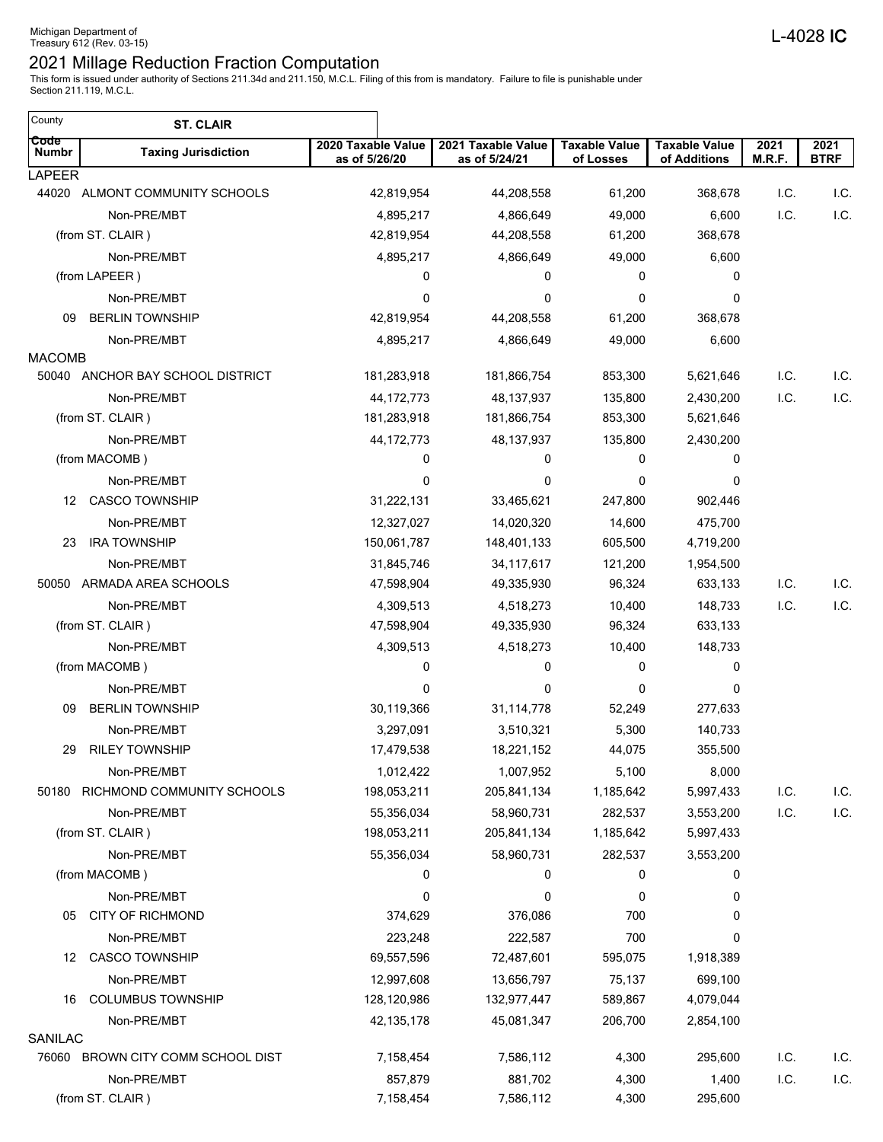This form is issued under authority of Sections 211.34d and 211.150, M.C.L. Filing of this from is mandatory. Failure to file is punishable under Section 211.119, M.C.L.

 $\overline{\phantom{a}}$ 

| County               | <b>ST. CLAIR</b>                 |                                     |                                     |                                   |                                      |                |                     |
|----------------------|----------------------------------|-------------------------------------|-------------------------------------|-----------------------------------|--------------------------------------|----------------|---------------------|
| Code<br><b>Numbr</b> | <b>Taxing Jurisdiction</b>       | 2020 Taxable Value<br>as of 5/26/20 | 2021 Taxable Value<br>as of 5/24/21 | <b>Taxable Value</b><br>of Losses | <b>Taxable Value</b><br>of Additions | 2021<br>M.R.F. | 2021<br><b>BTRF</b> |
| <b>LAPEER</b>        |                                  |                                     |                                     |                                   |                                      |                |                     |
|                      | 44020 ALMONT COMMUNITY SCHOOLS   | 42,819,954                          | 44,208,558                          | 61,200                            | 368,678                              | I.C.           | I.C.                |
|                      | Non-PRE/MBT                      | 4,895,217                           | 4,866,649                           | 49,000                            | 6,600                                | I.C.           | I.C.                |
|                      | (from ST. CLAIR)                 | 42,819,954                          | 44,208,558                          | 61,200                            | 368,678                              |                |                     |
|                      | Non-PRE/MBT                      | 4,895,217<br>0                      | 4,866,649<br>0                      | 49,000<br>0                       | 6,600<br>0                           |                |                     |
|                      | (from LAPEER)<br>Non-PRE/MBT     | 0                                   | 0                                   | $\mathbf{0}$                      | 0                                    |                |                     |
| 09                   | <b>BERLIN TOWNSHIP</b>           | 42,819,954                          | 44,208,558                          | 61,200                            | 368,678                              |                |                     |
|                      | Non-PRE/MBT                      | 4,895,217                           | 4,866,649                           | 49,000                            | 6,600                                |                |                     |
| <b>MACOMB</b>        |                                  |                                     |                                     |                                   |                                      |                |                     |
|                      | 50040 ANCHOR BAY SCHOOL DISTRICT | 181,283,918                         | 181,866,754                         | 853,300                           | 5,621,646                            | I.C.           | I.C.                |
|                      | Non-PRE/MBT                      | 44, 172, 773                        | 48, 137, 937                        | 135,800                           | 2,430,200                            | I.C.           | I.C.                |
|                      | (from ST. CLAIR)                 | 181,283,918                         | 181,866,754                         | 853,300                           | 5,621,646                            |                |                     |
|                      | Non-PRE/MBT                      | 44, 172, 773                        | 48, 137, 937                        | 135,800                           | 2,430,200                            |                |                     |
|                      | (from MACOMB)                    | 0                                   | 0                                   | 0                                 | 0                                    |                |                     |
|                      | Non-PRE/MBT                      | 0                                   | 0                                   | 0                                 | 0                                    |                |                     |
| 12                   | <b>CASCO TOWNSHIP</b>            | 31,222,131                          | 33,465,621                          | 247,800                           | 902,446                              |                |                     |
|                      | Non-PRE/MBT                      | 12,327,027                          | 14,020,320                          | 14,600                            | 475,700                              |                |                     |
| 23                   | <b>IRA TOWNSHIP</b>              | 150,061,787                         | 148,401,133                         | 605,500                           | 4,719,200                            |                |                     |
|                      | Non-PRE/MBT                      | 31,845,746                          | 34, 117, 617                        | 121,200                           | 1,954,500                            |                |                     |
|                      | 50050 ARMADA AREA SCHOOLS        | 47,598,904                          | 49,335,930                          | 96,324                            | 633,133                              | I.C.           | I.C.                |
|                      | Non-PRE/MBT                      | 4,309,513                           | 4,518,273                           | 10,400                            | 148,733                              | I.C.           | I.C.                |
|                      | (from ST. CLAIR)                 | 47,598,904                          | 49,335,930                          | 96,324                            | 633,133                              |                |                     |
|                      | Non-PRE/MBT                      | 4,309,513                           | 4,518,273                           | 10,400                            | 148,733                              |                |                     |
|                      | (from MACOMB)                    | 0                                   | 0                                   | 0                                 | 0                                    |                |                     |
|                      | Non-PRE/MBT                      | 0                                   | 0                                   | 0                                 | 0                                    |                |                     |
| 09                   | <b>BERLIN TOWNSHIP</b>           | 30,119,366                          | 31,114,778                          | 52,249                            | 277,633                              |                |                     |
|                      | Non-PRE/MBT                      | 3,297,091                           | 3,510,321                           | 5,300                             | 140,733                              |                |                     |
| 29                   | <b>RILEY TOWNSHIP</b>            | 17,479,538                          | 18,221,152                          | 44,075                            | 355,500                              |                |                     |
|                      | Non-PRE/MBT                      | 1,012,422                           | 1,007,952                           | 5,100                             | 8,000                                |                |                     |
| 50180                | RICHMOND COMMUNITY SCHOOLS       | 198,053,211                         | 205,841,134                         | 1,185,642                         | 5,997,433                            | I.C.           | I.C.                |
|                      | Non-PRE/MBT                      | 55,356,034                          | 58,960,731                          | 282,537                           | 3,553,200                            | I.C.           | I.C.                |
|                      | (from ST. CLAIR)                 | 198,053,211                         | 205,841,134                         | 1,185,642                         | 5,997,433                            |                |                     |
|                      | Non-PRE/MBT                      | 55,356,034                          | 58,960,731                          | 282,537                           | 3,553,200                            |                |                     |
|                      | (from MACOMB)                    | 0                                   | 0                                   | 0                                 | 0                                    |                |                     |
|                      | Non-PRE/MBT                      | 0                                   | 0                                   | 0                                 | 0                                    |                |                     |
| 05                   | <b>CITY OF RICHMOND</b>          | 374,629                             | 376,086                             | 700                               | 0                                    |                |                     |
|                      | Non-PRE/MBT                      | 223,248                             | 222,587                             | 700                               | 0                                    |                |                     |
| 12                   | <b>CASCO TOWNSHIP</b>            | 69,557,596                          | 72,487,601                          | 595,075                           | 1,918,389                            |                |                     |
|                      | Non-PRE/MBT                      | 12,997,608                          | 13,656,797                          | 75,137                            | 699,100                              |                |                     |
| 16                   | <b>COLUMBUS TOWNSHIP</b>         | 128,120,986                         | 132,977,447                         | 589,867                           | 4,079,044                            |                |                     |
|                      | Non-PRE/MBT                      | 42, 135, 178                        | 45,081,347                          | 206,700                           | 2,854,100                            |                |                     |
| SANILAC              |                                  |                                     |                                     |                                   |                                      |                |                     |
| 76060                | BROWN CITY COMM SCHOOL DIST      | 7,158,454                           | 7,586,112                           | 4,300                             | 295,600                              | I.C.           | I.C.                |
|                      | Non-PRE/MBT                      | 857,879                             | 881,702                             | 4,300                             | 1,400                                | I.C.           | I.C.                |
|                      | (from ST. CLAIR)                 | 7,158,454                           | 7,586,112                           | 4,300                             | 295,600                              |                |                     |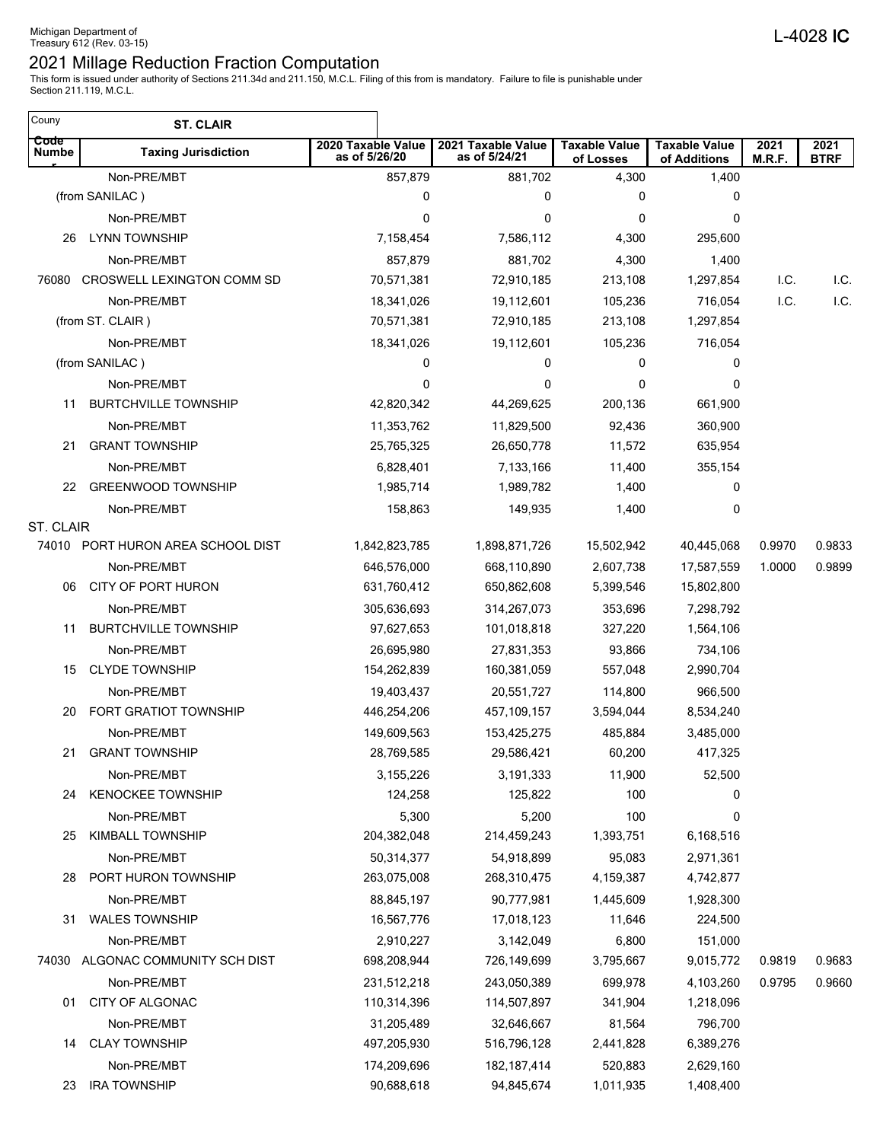| Couny                | <b>ST. CLAIR</b>                  |                                     |                                     |                                   |                                      |                |                     |
|----------------------|-----------------------------------|-------------------------------------|-------------------------------------|-----------------------------------|--------------------------------------|----------------|---------------------|
| Code<br><b>Numbe</b> | <b>Taxing Jurisdiction</b>        | 2020 Taxable Value<br>as of 5/26/20 | 2021 Taxable Value<br>as of 5/24/21 | <b>Taxable Value</b><br>of Losses | <b>Taxable Value</b><br>of Additions | 2021<br>M.R.F. | 2021<br><b>BTRF</b> |
|                      | Non-PRE/MBT                       | 857,879                             | 881,702                             | 4,300                             | 1,400                                |                |                     |
|                      | (from SANILAC)                    | 0                                   | 0                                   | 0                                 | 0                                    |                |                     |
|                      | Non-PRE/MBT                       | 0                                   | 0                                   | 0                                 | 0                                    |                |                     |
| 26                   | <b>LYNN TOWNSHIP</b>              | 7,158,454                           | 7,586,112                           | 4,300                             | 295,600                              |                |                     |
|                      | Non-PRE/MBT                       | 857,879                             | 881,702                             | 4,300                             | 1,400                                |                |                     |
| 76080                | CROSWELL LEXINGTON COMM SD        | 70,571,381                          | 72,910,185                          | 213,108                           | 1,297,854                            | I.C.           | I.C.                |
|                      | Non-PRE/MBT                       | 18,341,026                          | 19,112,601                          | 105,236                           | 716,054                              | I.C.           | I.C.                |
|                      | (from ST. CLAIR)                  | 70,571,381                          | 72,910,185                          | 213,108                           | 1,297,854                            |                |                     |
|                      | Non-PRE/MBT                       | 18,341,026                          | 19,112,601                          | 105,236                           | 716,054                              |                |                     |
|                      | (from SANILAC)                    | 0                                   | 0                                   | 0                                 | 0                                    |                |                     |
|                      | Non-PRE/MBT                       | 0                                   | 0                                   | 0                                 | 0                                    |                |                     |
| 11                   | <b>BURTCHVILLE TOWNSHIP</b>       | 42,820,342                          | 44,269,625                          | 200,136                           | 661,900                              |                |                     |
|                      | Non-PRE/MBT                       | 11,353,762                          | 11,829,500                          | 92,436                            | 360,900                              |                |                     |
| 21                   | <b>GRANT TOWNSHIP</b>             | 25,765,325                          | 26,650,778                          | 11,572                            | 635,954                              |                |                     |
|                      | Non-PRE/MBT                       | 6,828,401                           | 7,133,166                           | 11,400                            | 355,154                              |                |                     |
| 22                   | <b>GREENWOOD TOWNSHIP</b>         | 1,985,714                           | 1,989,782                           | 1,400                             | 0                                    |                |                     |
|                      | Non-PRE/MBT                       | 158,863                             | 149,935                             | 1,400                             | 0                                    |                |                     |
| ST. CLAIR            |                                   |                                     |                                     |                                   |                                      |                |                     |
|                      | 74010 PORT HURON AREA SCHOOL DIST | 1,842,823,785                       | 1,898,871,726                       | 15,502,942                        | 40,445,068                           | 0.9970         | 0.9833              |
|                      | Non-PRE/MBT                       | 646,576,000                         | 668,110,890                         | 2,607,738                         | 17,587,559                           | 1.0000         | 0.9899              |
| 06                   | CITY OF PORT HURON                | 631,760,412                         | 650,862,608                         | 5,399,546                         | 15,802,800                           |                |                     |
|                      | Non-PRE/MBT                       | 305,636,693                         | 314,267,073                         | 353,696                           | 7,298,792                            |                |                     |
| 11                   | <b>BURTCHVILLE TOWNSHIP</b>       | 97,627,653                          | 101,018,818                         | 327,220                           | 1,564,106                            |                |                     |
|                      | Non-PRE/MBT                       | 26,695,980                          | 27,831,353                          | 93,866                            | 734,106                              |                |                     |
| 15                   | <b>CLYDE TOWNSHIP</b>             | 154,262,839                         | 160,381,059                         | 557,048                           | 2,990,704                            |                |                     |
|                      | Non-PRE/MBT                       | 19,403,437                          | 20,551,727                          | 114,800                           | 966,500                              |                |                     |
| 20                   | FORT GRATIOT TOWNSHIP             | 446,254,206                         | 457,109,157                         | 3,594,044                         | 8,534,240                            |                |                     |
|                      | Non-PRE/MBT                       | 149,609,563                         | 153,425,275                         | 485,884                           | 3,485,000                            |                |                     |
| 21                   | <b>GRANT TOWNSHIP</b>             | 28,769,585                          | 29,586,421                          | 60,200                            | 417,325                              |                |                     |
|                      | Non-PRE/MBT                       | 3,155,226                           | 3,191,333                           | 11,900                            | 52,500                               |                |                     |
| 24                   | <b>KENOCKEE TOWNSHIP</b>          | 124,258                             | 125,822                             | 100                               | 0                                    |                |                     |
|                      | Non-PRE/MBT                       | 5,300                               | 5,200                               | 100                               | 0                                    |                |                     |
| 25                   | <b>KIMBALL TOWNSHIP</b>           | 204,382,048                         | 214,459,243                         | 1,393,751                         | 6,168,516                            |                |                     |
|                      | Non-PRE/MBT                       | 50,314,377                          | 54,918,899                          | 95,083                            | 2,971,361                            |                |                     |
| 28                   | PORT HURON TOWNSHIP               | 263,075,008                         | 268,310,475                         | 4,159,387                         | 4,742,877                            |                |                     |
|                      | Non-PRE/MBT                       | 88,845,197                          | 90,777,981                          | 1,445,609                         | 1,928,300                            |                |                     |
| 31                   | <b>WALES TOWNSHIP</b>             | 16,567,776                          | 17,018,123                          | 11,646                            | 224,500                              |                |                     |
|                      | Non-PRE/MBT                       | 2,910,227                           | 3,142,049                           | 6,800                             | 151,000                              |                |                     |
| 74030                | ALGONAC COMMUNITY SCH DIST        | 698,208,944                         | 726,149,699                         | 3,795,667                         | 9,015,772                            | 0.9819         | 0.9683              |
|                      | Non-PRE/MBT                       | 231,512,218                         | 243,050,389                         | 699,978                           | 4,103,260                            | 0.9795         | 0.9660              |
| 01                   | CITY OF ALGONAC                   | 110,314,396                         | 114,507,897                         | 341,904                           | 1,218,096                            |                |                     |
|                      | Non-PRE/MBT                       | 31,205,489                          | 32,646,667                          | 81,564                            | 796,700                              |                |                     |
| 14                   | <b>CLAY TOWNSHIP</b>              | 497,205,930                         | 516,796,128                         | 2,441,828                         | 6,389,276                            |                |                     |
|                      | Non-PRE/MBT                       | 174,209,696                         | 182, 187, 414                       | 520,883                           | 2,629,160                            |                |                     |
| 23                   | <b>IRA TOWNSHIP</b>               | 90,688,618                          | 94,845,674                          | 1,011,935                         | 1,408,400                            |                |                     |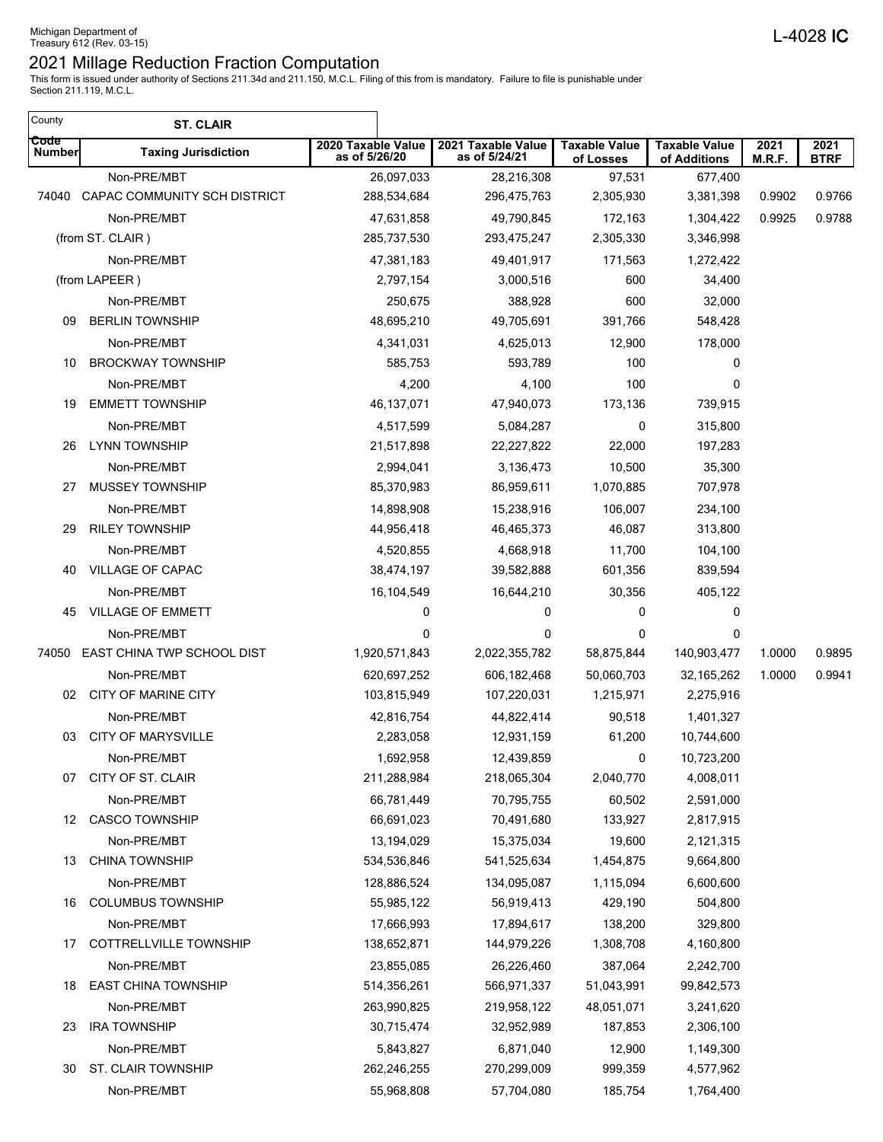| County                | <b>ST. CLAIR</b>              |                                     |                                     |                                   |                                      |                |                     |
|-----------------------|-------------------------------|-------------------------------------|-------------------------------------|-----------------------------------|--------------------------------------|----------------|---------------------|
| Code<br><b>Number</b> | <b>Taxing Jurisdiction</b>    | 2020 Taxable Value<br>as of 5/26/20 | 2021 Taxable Value<br>as of 5/24/21 | <b>Taxable Value</b><br>of Losses | <b>Taxable Value</b><br>of Additions | 2021<br>M.R.F. | 2021<br><b>BTRF</b> |
|                       | Non-PRE/MBT                   | 26,097,033                          | 28,216,308                          | 97,531                            | 677,400                              |                |                     |
| 74040                 | CAPAC COMMUNITY SCH DISTRICT  | 288,534,684                         | 296,475,763                         | 2,305,930                         | 3,381,398                            | 0.9902         | 0.9766              |
|                       | Non-PRE/MBT                   | 47,631,858                          | 49,790,845                          | 172,163                           | 1,304,422                            | 0.9925         | 0.9788              |
|                       | (from ST. CLAIR)              | 285,737,530                         | 293,475,247                         | 2,305,330                         | 3,346,998                            |                |                     |
|                       | Non-PRE/MBT                   | 47,381,183                          | 49,401,917                          | 171,563                           | 1,272,422                            |                |                     |
|                       | (from LAPEER)                 | 2,797,154                           | 3,000,516                           | 600                               | 34,400                               |                |                     |
|                       | Non-PRE/MBT                   | 250,675                             | 388,928                             | 600                               | 32,000                               |                |                     |
| 09                    | <b>BERLIN TOWNSHIP</b>        | 48,695,210                          | 49,705,691                          | 391,766                           | 548,428                              |                |                     |
|                       | Non-PRE/MBT                   | 4,341,031                           | 4,625,013                           | 12,900                            | 178,000                              |                |                     |
| 10                    | <b>BROCKWAY TOWNSHIP</b>      | 585,753                             | 593,789                             | 100                               | 0                                    |                |                     |
|                       | Non-PRE/MBT                   | 4,200                               | 4,100                               | 100                               | 0                                    |                |                     |
| 19                    | <b>EMMETT TOWNSHIP</b>        | 46, 137, 071                        | 47,940,073                          | 173,136                           | 739,915                              |                |                     |
|                       | Non-PRE/MBT                   | 4,517,599                           | 5,084,287                           | 0                                 | 315,800                              |                |                     |
| 26                    | <b>LYNN TOWNSHIP</b>          | 21,517,898                          | 22,227,822                          | 22,000                            | 197,283                              |                |                     |
|                       | Non-PRE/MBT                   | 2,994,041                           | 3,136,473                           | 10,500                            | 35,300                               |                |                     |
| 27                    | MUSSEY TOWNSHIP               | 85,370,983                          | 86,959,611                          | 1,070,885                         | 707,978                              |                |                     |
|                       | Non-PRE/MBT                   | 14,898,908                          | 15,238,916                          | 106,007                           | 234,100                              |                |                     |
| 29                    | <b>RILEY TOWNSHIP</b>         | 44,956,418                          | 46,465,373                          | 46,087                            | 313,800                              |                |                     |
|                       | Non-PRE/MBT                   | 4,520,855                           | 4,668,918                           | 11,700                            | 104,100                              |                |                     |
| 40                    | VILLAGE OF CAPAC              | 38,474,197                          | 39,582,888                          | 601,356                           | 839,594                              |                |                     |
|                       | Non-PRE/MBT                   | 16,104,549                          | 16,644,210                          | 30,356                            | 405,122                              |                |                     |
| 45                    | <b>VILLAGE OF EMMETT</b>      | 0                                   | 0                                   | 0                                 | 0                                    |                |                     |
|                       | Non-PRE/MBT                   | 0                                   | 0                                   | 0                                 | 0                                    |                |                     |
| 74050                 | EAST CHINA TWP SCHOOL DIST    | 1,920,571,843                       | 2,022,355,782                       | 58,875,844                        | 140,903,477                          | 1.0000         | 0.9895              |
|                       | Non-PRE/MBT                   | 620,697,252                         | 606,182,468                         | 50,060,703                        | 32, 165, 262                         | 1.0000         | 0.9941              |
| 02                    | CITY OF MARINE CITY           | 103,815,949                         | 107,220,031                         | 1,215,971                         | 2,275,916                            |                |                     |
|                       | Non-PRE/MBT                   | 42,816,754                          | 44,822,414                          | 90,518                            | 1,401,327                            |                |                     |
| 03                    | <b>CITY OF MARYSVILLE</b>     | 2,283,058                           | 12,931,159                          | 61,200                            | 10,744,600                           |                |                     |
|                       | Non-PRE/MBT                   | 1,692,958                           | 12,439,859                          | $\overline{\mathbf{0}}$           | 10,723,200                           |                |                     |
| 07                    | CITY OF ST. CLAIR             | 211,288,984                         | 218,065,304                         | 2,040,770                         | 4,008,011                            |                |                     |
|                       | Non-PRE/MBT                   | 66,781,449                          | 70,795,755                          | 60,502                            | 2,591,000                            |                |                     |
| 12                    | <b>CASCO TOWNSHIP</b>         | 66,691,023                          | 70,491,680                          | 133,927                           | 2,817,915                            |                |                     |
|                       | Non-PRE/MBT                   | 13,194,029                          | 15,375,034                          | 19,600                            | 2,121,315                            |                |                     |
| 13                    | <b>CHINA TOWNSHIP</b>         | 534,536,846                         | 541,525,634                         | 1,454,875                         | 9,664,800                            |                |                     |
|                       | Non-PRE/MBT                   | 128,886,524                         | 134,095,087                         | 1,115,094                         | 6,600,600                            |                |                     |
| 16                    | <b>COLUMBUS TOWNSHIP</b>      | 55,985,122                          | 56,919,413                          | 429,190                           | 504,800                              |                |                     |
|                       | Non-PRE/MBT                   | 17,666,993                          | 17,894,617                          | 138,200                           | 329,800                              |                |                     |
| 17                    | <b>COTTRELLVILLE TOWNSHIP</b> | 138,652,871                         | 144,979,226                         | 1,308,708                         | 4,160,800                            |                |                     |
|                       | Non-PRE/MBT                   | 23,855,085                          | 26,226,460                          | 387,064                           | 2,242,700                            |                |                     |
| 18                    | <b>EAST CHINA TOWNSHIP</b>    | 514,356,261                         | 566,971,337                         | 51,043,991                        | 99,842,573                           |                |                     |
|                       | Non-PRE/MBT                   | 263,990,825                         | 219,958,122                         | 48,051,071                        | 3,241,620                            |                |                     |
| 23                    | <b>IRA TOWNSHIP</b>           | 30,715,474                          | 32,952,989                          | 187,853                           | 2,306,100                            |                |                     |
|                       | Non-PRE/MBT                   | 5,843,827                           | 6,871,040                           | 12,900                            | 1,149,300                            |                |                     |
| 30                    | ST. CLAIR TOWNSHIP            | 262,246,255                         | 270,299,009                         | 999,359                           | 4,577,962                            |                |                     |
|                       | Non-PRE/MBT                   | 55,968,808                          | 57,704,080                          | 185,754                           | 1,764,400                            |                |                     |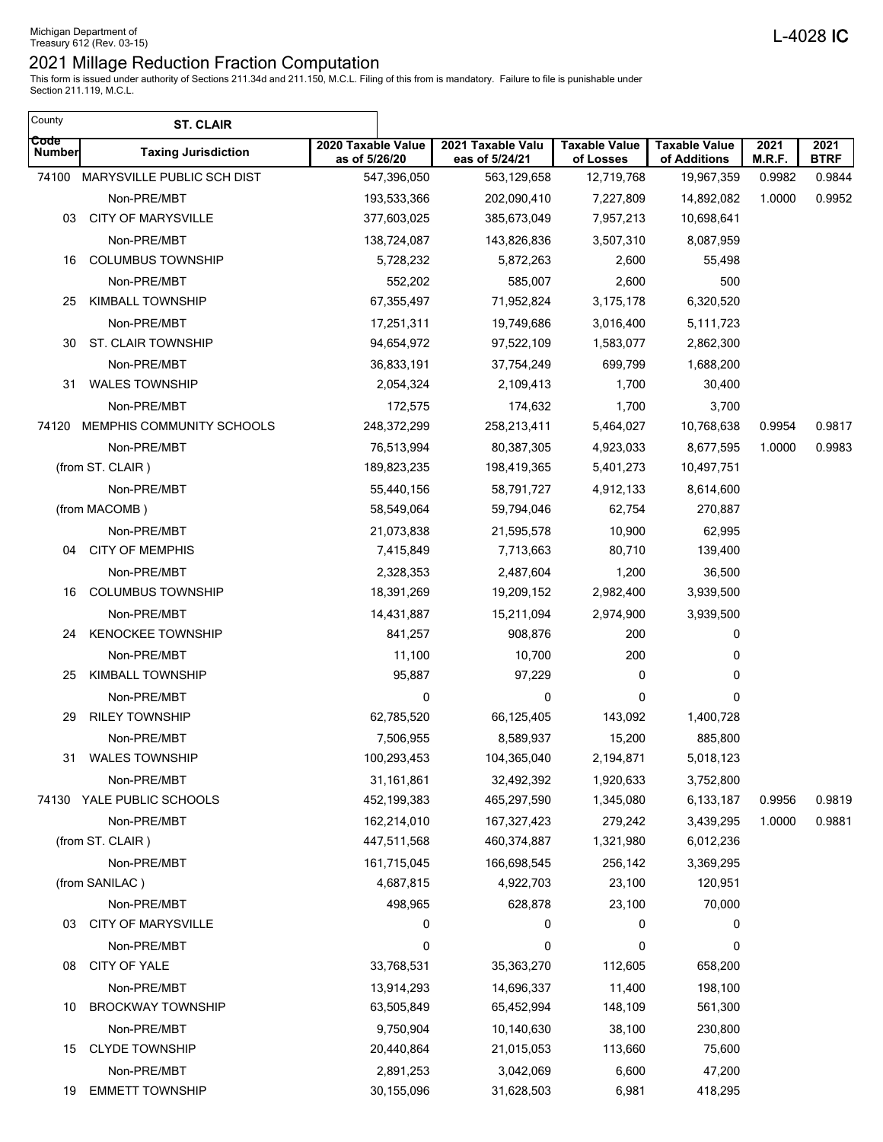This form is issued under authority of Sections 211.34d and 211.150, M.C.L. Filing of this from is mandatory. Failure to file is punishable under Section 211.119, M.C.L.

 $\overline{\phantom{a}}$ 

| County                | <b>ST. CLAIR</b>                     |                                     |                                     |                                   |                                      |                |                     |
|-----------------------|--------------------------------------|-------------------------------------|-------------------------------------|-----------------------------------|--------------------------------------|----------------|---------------------|
| Code<br><b>Number</b> | <b>Taxing Jurisdiction</b>           | 2020 Taxable Value<br>as of 5/26/20 | 2021 Taxable Valu<br>eas of 5/24/21 | <b>Taxable Value</b><br>of Losses | <b>Taxable Value</b><br>of Additions | 2021<br>M.R.F. | 2021<br><b>BTRF</b> |
|                       | 74100 MARYSVILLE PUBLIC SCH DIST     | 547,396,050                         | 563,129,658                         | 12,719,768                        | 19,967,359                           | 0.9982         | 0.9844              |
|                       | Non-PRE/MBT                          | 193,533,366                         | 202,090,410                         | 7,227,809                         | 14,892,082                           | 1.0000         | 0.9952              |
| 03                    | <b>CITY OF MARYSVILLE</b>            | 377,603,025                         | 385,673,049                         | 7,957,213                         | 10,698,641                           |                |                     |
|                       | Non-PRE/MBT                          | 138,724,087                         | 143,826,836                         | 3,507,310                         | 8,087,959                            |                |                     |
| 16                    | <b>COLUMBUS TOWNSHIP</b>             | 5,728,232                           | 5,872,263                           | 2,600                             | 55,498                               |                |                     |
|                       | Non-PRE/MBT                          | 552,202                             | 585,007                             | 2,600                             | 500                                  |                |                     |
| 25                    | <b>KIMBALL TOWNSHIP</b>              | 67,355,497                          | 71,952,824                          | 3,175,178                         | 6,320,520                            |                |                     |
|                       | Non-PRE/MBT                          | 17,251,311                          | 19,749,686                          | 3,016,400                         | 5,111,723                            |                |                     |
| 30                    | ST. CLAIR TOWNSHIP                   | 94,654,972                          | 97,522,109                          | 1,583,077                         | 2,862,300                            |                |                     |
|                       | Non-PRE/MBT                          | 36,833,191                          | 37,754,249                          | 699,799                           | 1,688,200                            |                |                     |
| 31                    | <b>WALES TOWNSHIP</b>                | 2,054,324                           | 2,109,413                           | 1,700                             | 30,400                               |                |                     |
|                       | Non-PRE/MBT                          | 172,575                             | 174,632                             | 1,700                             | 3,700                                |                |                     |
| 74120                 | MEMPHIS COMMUNITY SCHOOLS            | 248,372,299                         | 258,213,411                         | 5,464,027                         | 10,768,638                           | 0.9954         | 0.9817              |
|                       | Non-PRE/MBT                          | 76,513,994                          | 80,387,305                          | 4,923,033                         | 8,677,595                            | 1.0000         | 0.9983              |
|                       | (from ST. CLAIR)                     | 189,823,235                         | 198,419,365                         | 5,401,273                         | 10,497,751                           |                |                     |
|                       | Non-PRE/MBT                          | 55,440,156                          | 58,791,727                          | 4,912,133                         | 8,614,600                            |                |                     |
|                       | (from MACOMB)                        | 58,549,064                          | 59,794,046                          | 62,754                            | 270,887                              |                |                     |
|                       | Non-PRE/MBT                          | 21,073,838                          | 21,595,578                          | 10,900                            | 62,995                               |                |                     |
| 04                    | <b>CITY OF MEMPHIS</b>               | 7,415,849                           | 7,713,663                           | 80,710                            | 139,400                              |                |                     |
|                       | Non-PRE/MBT                          | 2,328,353                           | 2,487,604                           | 1,200                             | 36,500                               |                |                     |
| 16                    | <b>COLUMBUS TOWNSHIP</b>             | 18,391,269                          | 19,209,152                          | 2,982,400                         | 3,939,500                            |                |                     |
|                       | Non-PRE/MBT                          | 14,431,887                          | 15,211,094                          | 2,974,900                         | 3,939,500                            |                |                     |
| 24                    | <b>KENOCKEE TOWNSHIP</b>             | 841,257                             | 908,876                             | 200                               | 0                                    |                |                     |
|                       | Non-PRE/MBT                          | 11,100                              | 10,700                              | 200                               | 0                                    |                |                     |
| 25                    | <b>KIMBALL TOWNSHIP</b>              | 95,887                              | 97,229                              | 0                                 | 0                                    |                |                     |
|                       |                                      | 0                                   | 0                                   | 0                                 | 0                                    |                |                     |
| 29                    | Non-PRE/MBT<br><b>RILEY TOWNSHIP</b> |                                     |                                     | 143,092                           |                                      |                |                     |
|                       |                                      | 62,785,520                          | 66,125,405                          |                                   | 1,400,728                            |                |                     |
|                       | Non-PRE/MBT                          | 7,506,955                           | 8,589,937                           | 15,200                            | 885,800                              |                |                     |
|                       | 31 WALES TOWNSHIP                    | 100,293,453                         | 104,365,040                         | 2,194,871                         | 5,018,123                            |                |                     |
|                       | Non-PRE/MBT                          | 31,161,861                          | 32,492,392                          | 1,920,633                         | 3,752,800                            |                |                     |
| 74130                 | YALE PUBLIC SCHOOLS                  | 452,199,383                         | 465,297,590                         | 1,345,080                         | 6,133,187                            | 0.9956         | 0.9819              |
|                       | Non-PRE/MBT                          | 162,214,010                         | 167,327,423                         | 279,242                           | 3,439,295                            | 1.0000         | 0.9881              |
|                       | (from ST. CLAIR)                     | 447,511,568                         | 460,374,887                         | 1,321,980                         | 6,012,236                            |                |                     |
|                       | Non-PRE/MBT                          | 161,715,045                         | 166,698,545                         | 256,142                           | 3,369,295                            |                |                     |
|                       | (from SANILAC)                       | 4,687,815                           | 4,922,703                           | 23,100                            | 120,951                              |                |                     |
|                       | Non-PRE/MBT                          | 498,965                             | 628,878                             | 23,100                            | 70,000                               |                |                     |
| 03                    | <b>CITY OF MARYSVILLE</b>            | 0                                   | 0                                   | 0                                 | 0                                    |                |                     |
|                       | Non-PRE/MBT                          | 0                                   | 0                                   | 0                                 | 0                                    |                |                     |
| 08                    | CITY OF YALE                         | 33,768,531                          | 35,363,270                          | 112,605                           | 658,200                              |                |                     |
|                       | Non-PRE/MBT                          | 13,914,293                          | 14,696,337                          | 11,400                            | 198,100                              |                |                     |
| 10                    | <b>BROCKWAY TOWNSHIP</b>             | 63,505,849                          | 65,452,994                          | 148,109                           | 561,300                              |                |                     |
|                       | Non-PRE/MBT                          | 9,750,904                           | 10,140,630                          | 38,100                            | 230,800                              |                |                     |
| 15                    | <b>CLYDE TOWNSHIP</b>                | 20,440,864                          | 21,015,053                          | 113,660                           | 75,600                               |                |                     |
|                       | Non-PRE/MBT                          | 2,891,253                           | 3,042,069                           | 6,600                             | 47,200                               |                |                     |
| 19                    | <b>EMMETT TOWNSHIP</b>               | 30,155,096                          | 31,628,503                          | 6,981                             | 418,295                              |                |                     |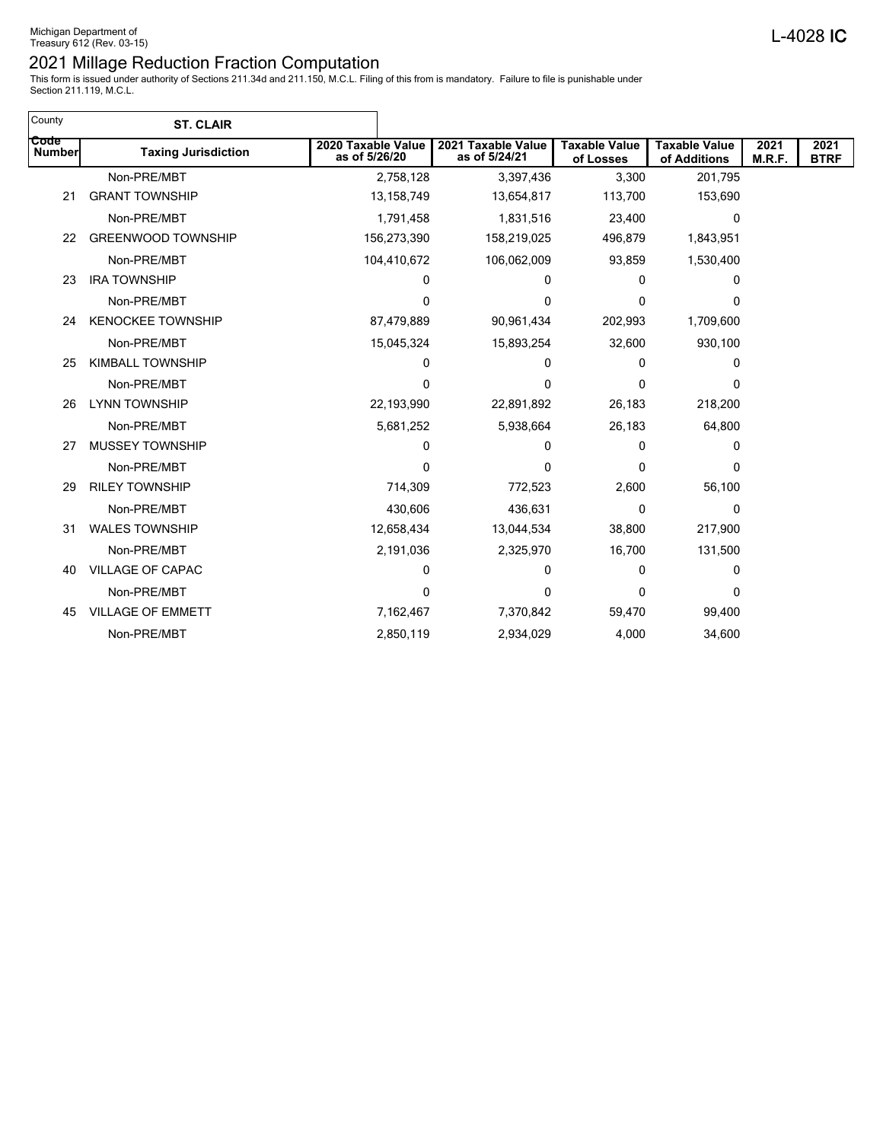| <b>ST. CLAIR</b>           |                                     |                                     |                                                                                                                                                                |                                      |                |                     |
|----------------------------|-------------------------------------|-------------------------------------|----------------------------------------------------------------------------------------------------------------------------------------------------------------|--------------------------------------|----------------|---------------------|
| <b>Taxing Jurisdiction</b> | 2020 Taxable Value<br>as of 5/26/20 | 2021 Taxable Value<br>as of 5/24/21 | <b>Taxable Value</b><br>of Losses                                                                                                                              | <b>Taxable Value</b><br>of Additions | 2021<br>M.R.F. | 2021<br><b>BTRF</b> |
| Non-PRE/MBT                |                                     | 3,397,436                           | 3,300                                                                                                                                                          | 201,795                              |                |                     |
| <b>GRANT TOWNSHIP</b>      |                                     | 13,654,817                          | 113,700                                                                                                                                                        | 153,690                              |                |                     |
| Non-PRE/MBT                |                                     | 1,831,516                           | 23,400                                                                                                                                                         | 0                                    |                |                     |
| <b>GREENWOOD TOWNSHIP</b>  |                                     | 158,219,025                         | 496,879                                                                                                                                                        | 1,843,951                            |                |                     |
| Non-PRE/MBT                |                                     | 106,062,009                         | 93,859                                                                                                                                                         | 1,530,400                            |                |                     |
| <b>IRA TOWNSHIP</b>        | 0                                   | 0                                   | 0                                                                                                                                                              | 0                                    |                |                     |
| Non-PRE/MBT                | 0                                   | $\Omega$                            | 0                                                                                                                                                              | 0                                    |                |                     |
| <b>KENOCKEE TOWNSHIP</b>   | 87,479,889                          | 90,961,434                          | 202,993                                                                                                                                                        | 1,709,600                            |                |                     |
| Non-PRE/MBT                |                                     | 15,893,254                          | 32,600                                                                                                                                                         | 930,100                              |                |                     |
| <b>KIMBALL TOWNSHIP</b>    | 0                                   | 0                                   | 0                                                                                                                                                              | 0                                    |                |                     |
| Non-PRE/MBT                | 0                                   | 0                                   | 0                                                                                                                                                              | 0                                    |                |                     |
| <b>LYNN TOWNSHIP</b>       |                                     | 22,891,892                          | 26,183                                                                                                                                                         | 218,200                              |                |                     |
| Non-PRE/MBT                |                                     | 5,938,664                           | 26,183                                                                                                                                                         | 64,800                               |                |                     |
| <b>MUSSEY TOWNSHIP</b>     | 0                                   | 0                                   | 0                                                                                                                                                              | 0                                    |                |                     |
| Non-PRE/MBT                | 0                                   | $\Omega$                            | 0                                                                                                                                                              | 0                                    |                |                     |
| <b>RILEY TOWNSHIP</b>      | 714,309                             | 772,523                             | 2,600                                                                                                                                                          | 56,100                               |                |                     |
| Non-PRE/MBT                |                                     | 436,631                             | 0                                                                                                                                                              | 0                                    |                |                     |
| <b>WALES TOWNSHIP</b>      |                                     | 13,044,534                          | 38,800                                                                                                                                                         | 217,900                              |                |                     |
| Non-PRE/MBT                |                                     | 2,325,970                           | 16,700                                                                                                                                                         | 131,500                              |                |                     |
| <b>VILLAGE OF CAPAC</b>    | 0                                   | 0                                   | 0                                                                                                                                                              | 0                                    |                |                     |
| Non-PRE/MBT                | 0                                   | 0                                   | 0                                                                                                                                                              | 0                                    |                |                     |
| <b>VILLAGE OF EMMETT</b>   | 7,162,467                           | 7,370,842                           | 59,470                                                                                                                                                         | 99,400                               |                |                     |
| Non-PRE/MBT                |                                     | 2,934,029                           | 4,000                                                                                                                                                          | 34,600                               |                |                     |
|                            |                                     |                                     | 2,758,128<br>13,158,749<br>1,791,458<br>156,273,390<br>104,410,672<br>15,045,324<br>22,193,990<br>5,681,252<br>430,606<br>12,658,434<br>2,191,036<br>2,850,119 |                                      |                |                     |